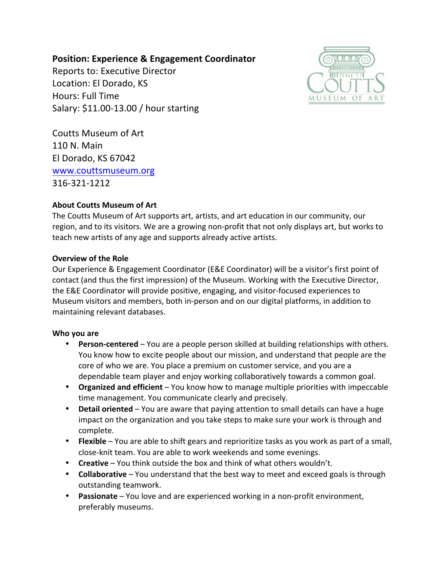# **Position: Experience & Engagement Coordinator**

Reports to: Executive Director Location: El Dorado, KS Hours: Full Time Salary: \$11.00-13.00 / hour starting



Coutts Museum of Art 110 N. Main El Dorado, KS 67042 www.couttsmuseum.org 316-321-1212

### **About Coutts Museum of Art**

The Coutts Museum of Art supports art, artists, and art education in our community, our region, and to its visitors. We are a growing non-profit that not only displays art, but works to teach new artists of any age and supports already active artists.

#### **Overview of the Role**

Our Experience & Engagement Coordinator (E&E Coordinator) will be a visitor's first point of contact (and thus the first impression) of the Museum. Working with the Executive Director, the E&E Coordinator will provide positive, engaging, and visitor-focused experiences to Museum visitors and members, both in-person and on our digital platforms, in addition to maintaining relevant databases.

#### **Who you are**

- **Person-centered** You are a people person skilled at building relationships with others. You know how to excite people about our mission, and understand that people are the core of who we are. You place a premium on customer service, and you are a dependable team player and enjoy working collaboratively towards a common goal.
- **Organized and efficient** You know how to manage multiple priorities with impeccable time management. You communicate clearly and precisely.
- **Detail oriented** You are aware that paying attention to small details can have a huge impact on the organization and you take steps to make sure your work is through and complete.
- **Flexible** You are able to shift gears and reprioritize tasks as you work as part of a small, close-knit team. You are able to work weekends and some evenings.
- **Creative** You think outside the box and think of what others wouldn't.
- **Collaborative** You understand that the best way to meet and exceed goals is through outstanding teamwork.
- **Passionate** You love and are experienced working in a non-profit environment, preferably museums.